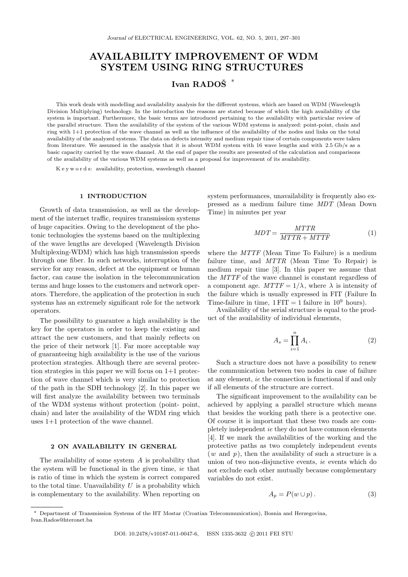# **AVAILABILITY IMPROVEMENT OF WDM SYSTEM USING RING STRUCTURES**

# **Ivan RADOSˇ** *∗*

This work deals with modelling and availability analysis for the different systems, which are based on WDM (Wavelength Division Multiplying) technology. In the introduction the reasons are stated because of which the high availability of the system is important. Furthermore, the basic terms are introduced pertaining to the availability with particular review of the parallel structure. Then the availability of the system of the various WDM systems is analyzed: point-point, chain and ring with 1+1 protection of the wave channel as well as the influence of the availability of the nodes and links on the total availability of the analyzed systems. The data on defects intensity and medium repair time of certain components were taken from literature. We assumed in the analysis that it is about WDM system with 16 wave lengths and with 2*.*5 Gb/s as a basic capacity carried by the wave channel. At the end of paper the results are presented of the calculation and comparisons of the availability of the various WDM systems as well as a proposal for improvement of its availability.

K e y w o r d s: availability, protection, wavelength channel

#### **1 INTRODUCTION**

Growth of data transmission, as well as the development of the internet traffic, requires transmission systems of huge capacities. Owing to the development of the photonic technologies the systems based on the multiplexing of the wave lengths are developed (Wavelength Division Multiplexing-WDM) which has high transmission speeds through one fiber. In such networks, interruption of the service for any reason, defect at the equipment or human factor, can cause the isolation in the telecommunication terms and huge losses to the customers and network operators. Therefore, the application of the protection in such systems has an extremely significant role for the network operators.

The possibility to guarantee a high availability is the key for the operators in order to keep the existing and attract the new customers, and that mainly reflects on the price of their network [1]. Far more acceptable way of guaranteeing high availability is the use of the various protection strategies. Although there are several protection strategies in this paper we will focus on 1+1 protection of wave channel which is very similar to protection of the path in the SDH technology [2]. In this paper we will first analyze the availability between two terminals of the WDM systems without protection (point- point, chain) and later the availability of the WDM ring which uses 1+1 protection of the wave channel.

#### **2 ON AVAILABILITY IN GENERAL**

The availability of some system *A* is probability that the system will be functional in the given time, *ie* that is ratio of time in which the system is correct compared to the total time. Unavailability *U* is a probability which is complementary to the availability. When reporting on

system performances, unavailability is frequently also expressed as a medium failure time *MDT* (Mean Down Time) in minutes per year

$$
MDT = \frac{MTTR}{MTTR + MTTF} \tag{1}
$$

where the *MTTF* (Mean Time To Failure) is a medium failure time, and *MTTR* (Mean Time To Repair) is medium repair time [3]. In this paper we assume that the *MTTF* of the wave channel is constant regardless of a component age.  $MTTF = 1/\lambda$ , where  $\lambda$  is intensity of the failure which is usually expressed in FIT (Failure In Time-failure in time,  $1 FIT = 1$  failure in  $10^9$  hours).

Availability of the serial structure is equal to the product of the availability of individual elements,

$$
A_s = \prod_{i=1}^n A_i \,. \tag{2}
$$

Such a structure does not have a possibility to renew the communication between two nodes in case of failure at any element, *ie* the connection is functional if and only if all elements of the structure are correct.

The significant improvement to the availability can be achieved by applying a parallel structure which means that besides the working path there is a protective one. Of course it is important that these two roads are completely independent *ie* they do not have common elements [4]. If we mark the availabilities of the working and the protective paths as two completely independent events (*w* and *p*), then the availability of such a structure is a union of two non-disjunctive events, *ie* events which do not exclude each other mutually because complementary variables do not exist.

$$
A_p = P(w \cup p). \tag{3}
$$

*<sup>∗</sup>* Department of Transmission Systems of the HT Mostar (Croatian Telecommunication), Bosnia and Herzegovina, Ivan.Rados@hteronet.ba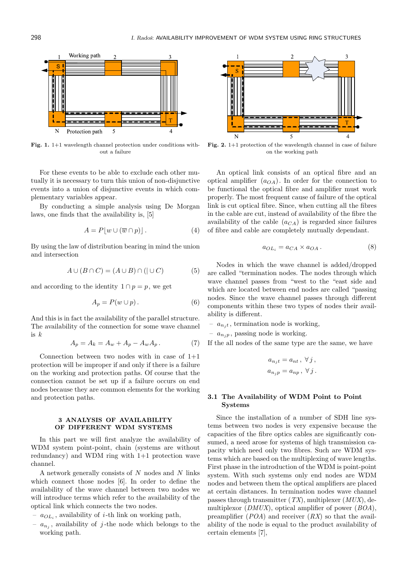

**Fig. 1.** 1+1 wavelength channel protection under conditions without a failure

For these events to be able to exclude each other mutually it is necessary to turn this union of non-disjunctive events into a union of disjunctive events in which complementary variables appear.

By conducting a simple analysis using De Morgan laws, one finds that the availability is, [5]

$$
A = P[w \cup (\overline{w} \cap p)]. \tag{4}
$$

By using the law of distribution bearing in mind the union and intersection

$$
A \cup (B \cap C) = (A \cup B) \cap (|\cup C) \tag{5}
$$

and according to the identity  $1 \cap p = p$ , we get

$$
A_p = P(w \cup p). \tag{6}
$$

And this is in fact the availability of the parallel structure. The availability of the connection for some wave channel is *k*

$$
A_p = A_k = A_w + A_p - A_w A_p. \tag{7}
$$

Connection between two nodes with in case of  $1+1$ protection will be improper if and only if there is a failure on the working and protection paths. Of course that the connection cannot be set up if a failure occurs on end nodes because they are common elements for the working and protection paths.

### **3 ANALYSIS OF AVAILABILITY OF DIFFERENT WDM SYSTEMS**

In this part we will first analyze the availability of WDM system point-point, chain (systems are without redundancy) and WDM ring with 1+1 protection wave channel.

A network generally consists of *N* nodes and *N* links which connect those nodes [6]. In order to define the availability of the wave channel between two nodes we will introduce terms which refer to the availability of the optical link which connects the two nodes.

- *aOL<sup>i</sup>* , availability of *i*-th link on working path,
- $-a_{n_j}$ , availability of *j*-the node which belongs to the working path.



**Fig. 2.** 1+1 protection of the wavelength channel in case of failure on the working path

An optical link consists of an optical fibre and an optical amplifier  $(a_{OA})$ . In order for the connection to be functional the optical fibre and amplifier must work properly. The most frequent cause of failure of the optical link is cut optical fibre. Since, when cutting all the fibres in the cable are cut, instead of availability of the fibre the availability of the cable  $(a_{CA})$  is regarded since failures of fibre and cable are completely mutually dependant.

$$
a_{OL_i} = a_{CA} \times a_{OA} \,. \tag{8}
$$

Nodes in which the wave channel is added/dropped are called "termination nodes. The nodes through which wave channel passes from "west to the "east side and which are located between end nodes are called "passing nodes. Since the wave channel passes through different components within these two types of nodes their availability is different.

 $-a_{n}$ , termination node is working,

–  $a_{n,p}$ , passing node is working.

If the all nodes of the same type are the same, we have

$$
a_{n_jt} = a_{nt}, \ \forall j,
$$
  

$$
a_{n_jp} = a_{np}, \ \forall j.
$$

### **3.1 The Availability of WDM Point to Point Systems**

Since the installation of a number of SDH line systems between two nodes is very expensive because the capacities of the fibre optics cables are significantly consumed, a need arose for systems of high transmission capacity which need only two fibres. Such are WDM systems which are based on the multiplexing of wave lengths. First phase in the introduction of the WDM is point-point system. With such systems only end nodes are WDM nodes and between them the optical amplifiers are placed at certain distances. In termination nodes wave channel passes through transmitter (*TX*), multiplexer (*MUX*), demultiplexor (*DMUX*), optical amplifier of power (*BOA*), preamplifier (*POA*) and receiver (*RX*) so that the availability of the node is equal to the product availability of certain elements [7],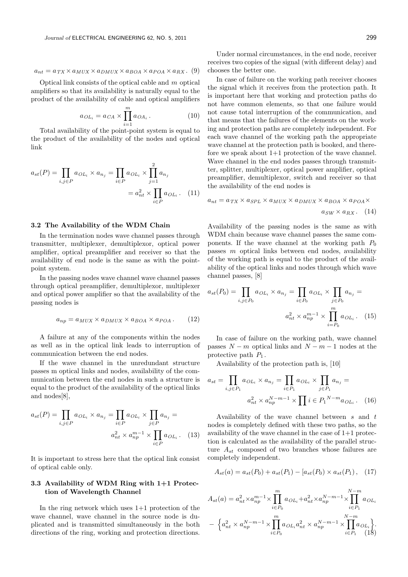$$
a_{nt} = a_{TX} \times a_{MUX} \times a_{DMUX} \times a_{BOA} \times a_{POA} \times a_{RX}. (9)
$$

Optical link consists of the optical cable and *m* optical amplifiers so that its availability is naturally equal to the product of the availability of cable and optical amplifiers

$$
a_{OL_i} = a_{CA} \times \prod_{i=1}^{m} a_{OA_i} . \qquad (10)
$$

Total availability of the point-point system is equal to the product of the availability of the nodes and optical link

$$
a_{st}(P) = \prod_{i,j \in P} a_{OL_i} \times a_{n_j} = \prod_{i \in P} a_{OL_i} \times \prod_{j=1}^2 a_{n_j}
$$

$$
= a_{nt}^2 \times \prod_{i \in P} a_{OL_i}.
$$
 (11)

#### **3.2 The Availability of the WDM Chain**

In the termination nodes wave channel passes through transmitter, multiplexer, demultiplexor, optical power amplifier, optical preamplifier and receiver so that the availability of end node is the same as with the pointpoint system.

In the passing nodes wave channel wave channel passes through optical preamplifier, demultiplexor, multiplexer and optical power amplifier so that the availability of the passing nodes is

$$
a_{np} = a_{MUX} \times a_{DMUX} \times a_{BOA} \times a_{POA}. \qquad (12)
$$

A failure at any of the components within the nodes as well as in the optical link leads to interruption of communication between the end nodes.

If the wave channel in the unredundant structure passes m optical links and nodes, availability of the communication between the end nodes in such a structure is equal to the product of the availability of the optical links and nodes[8],

$$
a_{st}(P) = \prod_{i,j \in P} a_{OL_i} \times a_{n_j} = \prod_{i \in P} a_{OL_i} \times \prod_{j \in P} a_{n_j} =
$$

$$
a_{nt}^2 \times a_{np}^{m-1} \times \prod_{i \in P} a_{OL_i}.
$$
 (13)

It is important to stress here that the optical link consist of optical cable only.

## **3.3 Availability of WDM Ring with 1+1 Protection of Wavelength Channel**

In the ring network which uses 1+1 protection of the wave channel, wave channel in the source node is duplicated and is transmitted simultaneously in the both directions of the ring, working and protection directions.

Under normal circumstances, in the end node, receiver receives two copies of the signal (with different delay) and chooses the better one.

In case of failure on the working path receiver chooses the signal which it receives from the protection path. It is important here that working and protection paths do not have common elements, so that one failure would not cause total interruption of the communication, and that means that the failures of the elements on the working and protection paths are completely independent. For each wave channel of the working path the appropriate wave channel at the protection path is booked, and therefore we speak about  $1+1$  protection of the wave channel. Wave channel in the end nodes passes through transmitter, splitter, multiplexer, optical power amplifier, optical preamplifier, demultiplexor, switch and receiver so that the availability of the end nodes is

$$
a_{nt} = a_{TX} \times a_{SPL} \times a_{MUX} \times a_{DMUX} \times a_{BOA} \times a_{POA} \times a_{SWX} \times a_{RX}.
$$
 (14)

Availability of the passing nodes is the same as with WDM chain because wave channel passes the same components. If the wave channel at the working path  $P_0$ passes *m* optical links between end nodes, availability of the working path is equal to the product of the availability of the optical links and nodes through which wave channel passes, [8]

$$
a_{st}(P_0) = \prod_{i,j \in P_0} a_{OL_i} \times a_{n_j} = \prod_{i \in P_0} a_{OL_i} \times \prod_{j \in P_0} a_{n_j} = a_{nt}^2 \times a_{np}^{m-1} \times \prod_{i=P_0}^{m} a_{OL_i}.
$$
 (15)

In case of failure on the working path, wave channel passes  $N - m$  optical links and  $N - m - 1$  nodes at the protective path  $P_1$ .

Availability of the protection path is, [10]

$$
a_{st} = \prod_{i,j \in P_1} a_{OL_i} \times a_{n_j} = \prod_{i \in P_1} a_{OL_i} \times \prod_{j \in P_1} a_{n_j} = a_{nt}^2 \times a_{np}^{N-m-1} \times \prod_{i \in P_1} i \in P_1^{N-m} a_{OL_i}.
$$
 (16)

Availability of the wave channel between *s* and *t* nodes is completely defined with these two paths, so the availability of the wave channel in the case of 1+1 protection is calculated as the availability of the parallel structure  $A_{st}$  composed of two branches whose failures are completely independent.

$$
A_{st}(a) = a_{st}(P_0) + a_{st}(P_1) - [a_{st}(P_0) \times a_{st}(P_1), (17)
$$

$$
A_{st}(a) = a_{nt}^2 \times a_{np}^{m-1} \times \prod_{i \in P_0}^{m} a_{OL_i} + a_{nt}^2 \times a_{np}^{N-m-1} \times \prod_{i \in P_1}^{N-m} a_{OL_i}
$$

$$
- \left\{ a_{nt}^2 \times a_{np}^{N-m-1} \times \prod_{i \in P_0}^{m} a_{OL_i} a_{nt}^2 \times a_{np}^{N-m-1} \times \prod_{i \in P_1}^{N-m} a_{OL_i} \right\}.
$$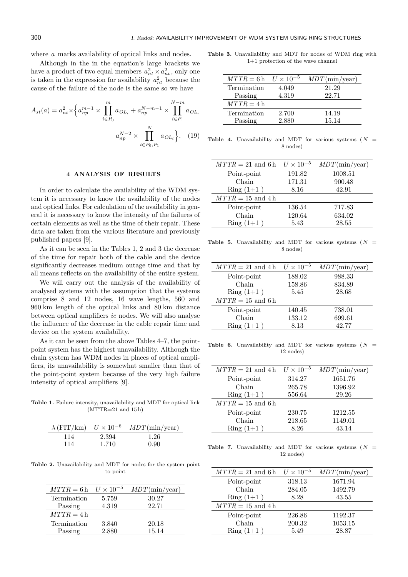where *a* marks availability of optical links and nodes.

Although in the in the equation's large brackets we have a product of two equal members  $a_{nt}^2 \times a_{nt}^2$ , only one is taken in the expression for availability  $a_{nt}^2$  because the cause of the failure of the node is the same so we have

$$
A_{st}(a) = a_{nt}^2 \times \left\{ a_{np}^{m-1} \times \prod_{i \in P_0}^{m} a_{OL_i} + a_{np}^{N-m-1} \times \prod_{i \in P_1}^{N-m} a_{OL_i} \right\}
$$

$$
- a_{np}^{N-2} \times \prod_{i \in P_0, P_1}^{N} a_{OL_i} \left\}.
$$
 (19)

#### **4 ANALYSIS OF RESULTS**

In order to calculate the availability of the WDM system it is necessary to know the availability of the nodes and optical links. For calculation of the availability in general it is necessary to know the intensity of the failures of certain elements as well as the time of their repair. These data are taken from the various literature and previously published papers [9].

As it can be seen in the Tables 1, 2 and 3 the decrease of the time for repair both of the cable and the device significantly decreases medium outage time and that by all means reflects on the availability of the entire system.

We will carry out the analysis of the availability of analysed systems with the assumption that the systems comprise 8 and 12 nodes, 16 wave lengths, 560 and 960 km length of the optical links and 80 km distance between optical amplifiers *ie* nodes. We will also analyse the influence of the decrease in the cable repair time and device on the system availability.

As it can be seen from the above Tables 4–7, the pointpoint system has the highest unavailability. Although the chain system has WDM nodes in places of optical amplifiers, its unavailability is somewhat smaller than that of the point-point system because of the very high failure intensity of optical amplifiers [9].

**Table 1.** Failure intensity, unavailability and MDT for optical link  $(MTTR=21$  and  $15<sup>h</sup>$ )

| $\lambda$ (FIT/km) | $U \times 10^{-6}$ | $MDT$ (min/year) |
|--------------------|--------------------|------------------|
| 114                | 2.394              | 1.26             |
| 114                | 1.710              | N 90             |

**Table 2.** Unavailability and MDT for nodes for the system point to point

| $MTTR = 6 h$ $U \times 10^{-5}$ |       | $MDT$ (min/year) |
|---------------------------------|-------|------------------|
| Termination                     | 5.759 | 30.27            |
| Passing                         | 4.319 | 22.71            |
| $MTTR = 4h$                     |       |                  |
| Termination                     | 3.840 | 20.18            |
| Passing                         | 2.880 | 15.14            |

**Table 3.** Unavailability and MDT for nodes of WDM ring with 1+1 protection of the wave channel

| $MTTR = 6 h$ $U \times 10^{-5}$ |       | $MDT$ (min/year) |
|---------------------------------|-------|------------------|
| Termination                     | 4.049 | 21.29            |
| Passing                         | 4.319 | 22.71            |
| $MTTR = 4h$                     |       |                  |
| Termination                     | 2.700 | 14.19            |
| Passing                         | 2.880 | 15.14            |

**Table 4.** Unavailability and MDT for various systems ( $N =$ 8 nodes)

| $MTTR = 21$ and 6 h $U \times 10^{-5}$ |        | $MDT$ (min/year) |
|----------------------------------------|--------|------------------|
| Point-point                            | 191.82 | 1008.51          |
| Chain                                  | 171.31 | 900.48           |
| $Ring(1+1)$                            | 8.16   | 42.91            |
| $MTTR = 15$ and 4h                     |        |                  |
| Point-point                            | 136.54 | 717.83           |
| Chain                                  | 120.64 | 634.02           |
| $Ring(1+1)$                            | 5.43   | 28.55            |

**Table 5.** Unavailability and MDT for various systems (*N* = 8 nodes)

| $MTTR = 21$ and 4h $U \times 10^{-5}$ |        | $MDT(\text{min}/\text{year})$ |
|---------------------------------------|--------|-------------------------------|
| Point-point                           | 188.02 | 988.33                        |
| Chain                                 | 158.86 | 834.89                        |
| $Ring(1+1)$                           | 5.45   | 28.68                         |
| $MTTR = 15$ and 6h                    |        |                               |
| Point-point                           | 140.45 | 738.01                        |
| Chain                                 | 133.12 | 699.61                        |
| $Ring(1+1)$                           | 8.13   | 42.77                         |

**Table 6.** Unavailability and MDT for various systems (*N* = 12 nodes)

| $MTTR = 21$ and 4h $U \times 10^{-5}$ |        | $MDT(\text{min}/\text{year})$ |
|---------------------------------------|--------|-------------------------------|
| Point-point                           | 314.27 | 1651.76                       |
| Chain                                 | 265.78 | 1396.92                       |
| $Ring(1+1)$                           | 556.64 | 29.26                         |
| $MTTR = 15$ and 6 h                   |        |                               |
| Point-point                           | 230.75 | 1212.55                       |
| Chain                                 | 218.65 | 1149.01                       |
| $Ring(1+1)$                           | 8.26   | 43.14                         |

**Table 7.** Unavailability and MDT for various systems ( $N =$ 12 nodes)

| $MTTR = 21$ and 6 h $U \times 10^{-5}$ |        | $MDT$ (min/year) |
|----------------------------------------|--------|------------------|
| Point-point                            | 318.13 | 1671.94          |
| Chain                                  | 284.05 | 1492.79          |
| $Ring(1+1)$                            | 8.28   | 43.55            |
| $MTTR = 15$ and 4h                     |        |                  |
| Point-point                            | 226.86 | 1192.37          |
| Chain                                  | 200.32 | 1053.15          |
| $Ring(1+1)$                            | 5.49   | 28.87            |